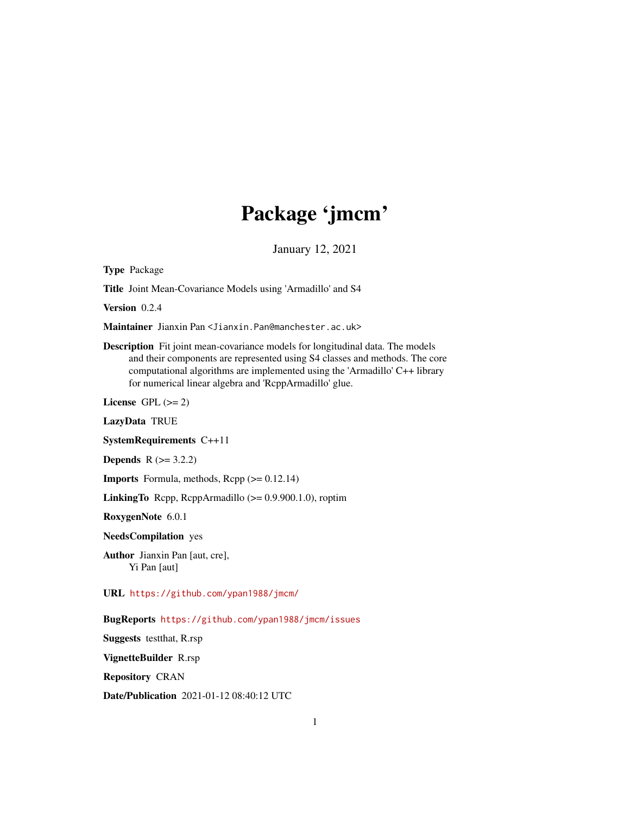# Package 'jmcm'

January 12, 2021

Type Package

Title Joint Mean-Covariance Models using 'Armadillo' and S4

Version 0.2.4

Maintainer Jianxin Pan <Jianxin.Pan@manchester.ac.uk>

Description Fit joint mean-covariance models for longitudinal data. The models and their components are represented using S4 classes and methods. The core computational algorithms are implemented using the 'Armadillo' C++ library for numerical linear algebra and 'RcppArmadillo' glue.

License GPL  $(>= 2)$ 

LazyData TRUE

SystemRequirements C++11

**Depends**  $R$  ( $>= 3.2.2$ )

**Imports** Formula, methods,  $\text{Rcpp} (> = 0.12.14)$ 

LinkingTo Rcpp, RcppArmadillo (>= 0.9.900.1.0), roptim

RoxygenNote 6.0.1

NeedsCompilation yes

Author Jianxin Pan [aut, cre], Yi Pan [aut]

URL <https://github.com/ypan1988/jmcm/>

BugReports <https://github.com/ypan1988/jmcm/issues>

Suggests testthat, R.rsp

VignetteBuilder R.rsp

Repository CRAN

Date/Publication 2021-01-12 08:40:12 UTC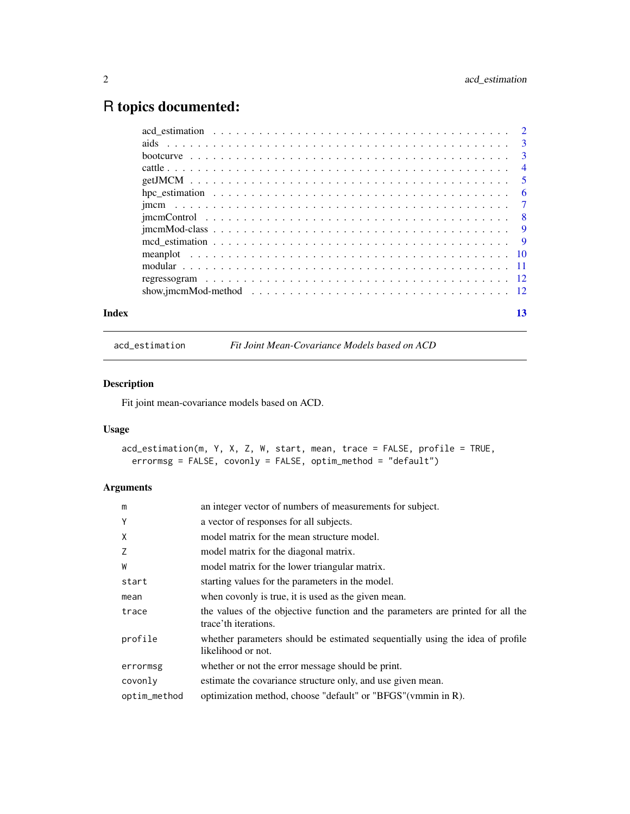## <span id="page-1-0"></span>R topics documented:

<span id="page-1-1"></span>acd\_estimation *Fit Joint Mean-Covariance Models based on ACD*

#### Description

Fit joint mean-covariance models based on ACD.

#### Usage

```
acd_estimation(m, Y, X, Z, W, start, mean, trace = FALSE, profile = TRUE,
 errormsg = FALSE, covonly = FALSE, optim_method = "default")
```

| m            | an integer vector of numbers of measurements for subject.                                               |
|--------------|---------------------------------------------------------------------------------------------------------|
| Y            | a vector of responses for all subjects.                                                                 |
| Χ            | model matrix for the mean structure model.                                                              |
| Z            | model matrix for the diagonal matrix.                                                                   |
| W            | model matrix for the lower triangular matrix.                                                           |
| start        | starting values for the parameters in the model.                                                        |
| mean         | when covonly is true, it is used as the given mean.                                                     |
| trace        | the values of the objective function and the parameters are printed for all the<br>trace'th iterations. |
| profile      | whether parameters should be estimated sequentially using the idea of profile<br>likelihood or not.     |
| errormsg     | whether or not the error message should be print.                                                       |
| covonly      | estimate the covariance structure only, and use given mean.                                             |
| optim_method | optimization method, choose "default" or "BFGS" (vmmin in R).                                           |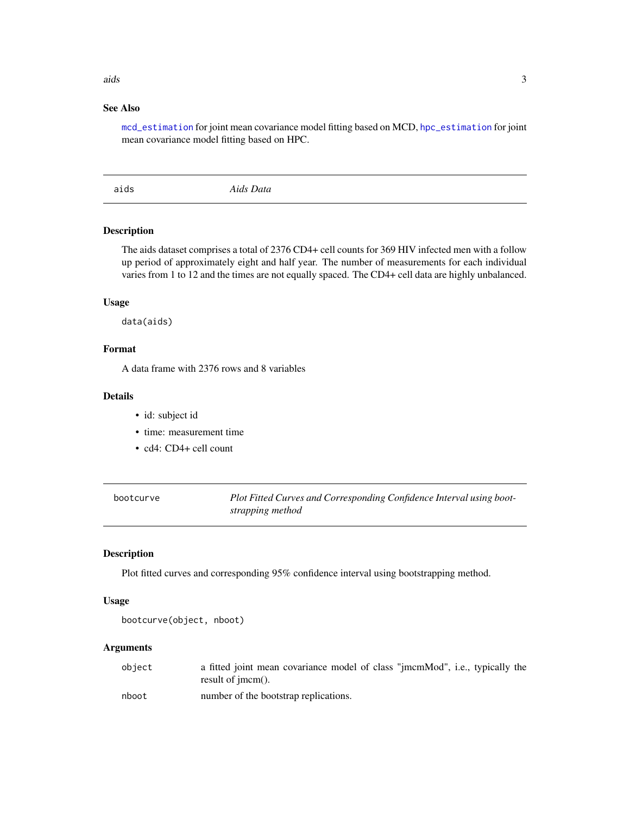### <span id="page-2-0"></span>aids 3

#### See Also

[mcd\\_estimation](#page-8-1) for joint mean covariance model fitting based on MCD, [hpc\\_estimation](#page-5-1) for joint mean covariance model fitting based on HPC.

aids *Aids Data*

#### Description

The aids dataset comprises a total of 2376 CD4+ cell counts for 369 HIV infected men with a follow up period of approximately eight and half year. The number of measurements for each individual varies from 1 to 12 and the times are not equally spaced. The CD4+ cell data are highly unbalanced.

#### Usage

data(aids)

#### Format

A data frame with 2376 rows and 8 variables

#### Details

- id: subject id
- time: measurement time
- cd4: CD4+ cell count

bootcurve *Plot Fitted Curves and Corresponding Confidence Interval using bootstrapping method*

#### Description

Plot fitted curves and corresponding 95% confidence interval using bootstrapping method.

#### Usage

```
bootcurve(object, nboot)
```

| object | a fitted joint mean covariance model of class "jmcmMod", i.e., typically the<br>result of $\mathbf{imcm}()$ . |
|--------|---------------------------------------------------------------------------------------------------------------|
| nboot  | number of the bootstrap replications.                                                                         |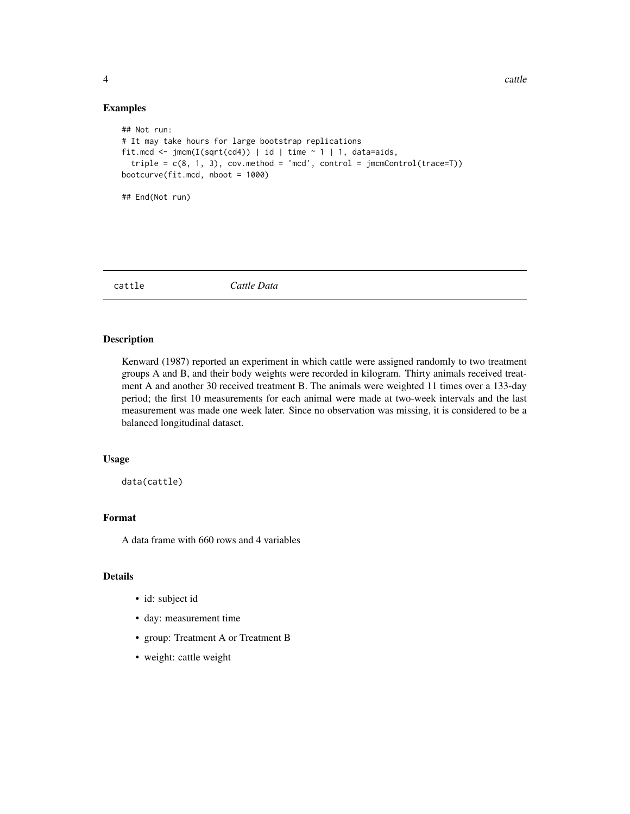#### Examples

```
## Not run:
# It may take hours for large bootstrap replications
fit.mcd <- jmcm(I(sqrt(cd)) | id | time ~ 1 | 1, data=aids,
  triple = c(8, 1, 3), cov.method = 'mod', control = jmcmControl(traincel(trace=T))bootcurve(fit.mcd, nboot = 1000)
## End(Not run)
```
cattle *Cattle Data*

#### Description

Kenward (1987) reported an experiment in which cattle were assigned randomly to two treatment groups A and B, and their body weights were recorded in kilogram. Thirty animals received treatment A and another 30 received treatment B. The animals were weighted 11 times over a 133-day period; the first 10 measurements for each animal were made at two-week intervals and the last measurement was made one week later. Since no observation was missing, it is considered to be a balanced longitudinal dataset.

#### Usage

data(cattle)

#### Format

A data frame with 660 rows and 4 variables

#### Details

- id: subject id
- day: measurement time
- group: Treatment A or Treatment B
- weight: cattle weight

<span id="page-3-0"></span>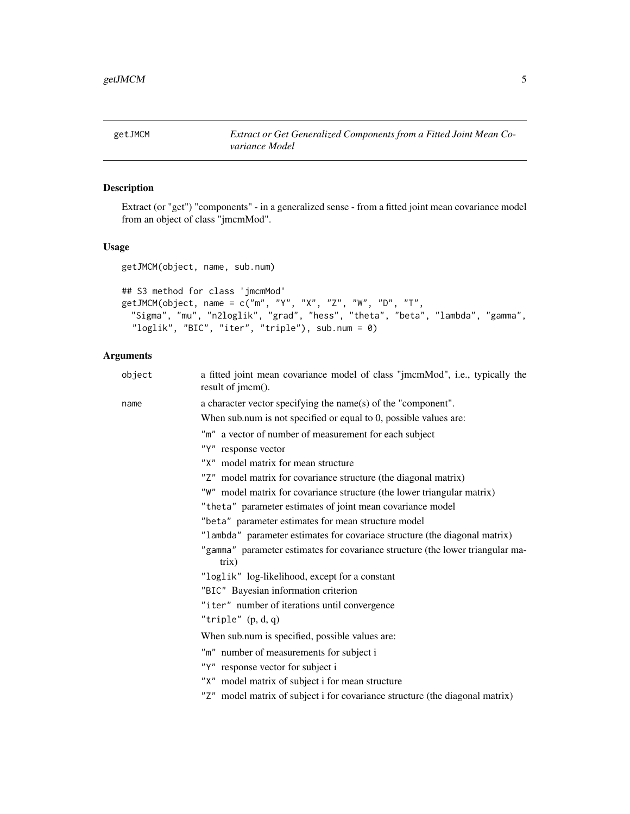<span id="page-4-0"></span>

Extract (or "get") "components" - in a generalized sense - from a fitted joint mean covariance model from an object of class "jmcmMod".

#### Usage

```
getJMCM(object, name, sub.num)
```

```
## S3 method for class 'jmcmMod'
getJMCM(object, name = c("m", "Y", "X", "Z", "W", "D", "T",
  "Sigma", "mu", "n2loglik", "grad", "hess", "theta", "beta", "lambda", "gamma",
  "loglik", "BIC", "iter", "triple"), sub.num = 0)
```

| a fitted joint mean covariance model of class "jmcmMod", i.e., typically the<br>result of jmcm(). |
|---------------------------------------------------------------------------------------------------|
| a character vector specifying the name(s) of the "component".                                     |
| When sub.num is not specified or equal to 0, possible values are:                                 |
| "m" a vector of number of measurement for each subject                                            |
| "Y" response vector                                                                               |
| "X" model matrix for mean structure                                                               |
| "Z" model matrix for covariance structure (the diagonal matrix)                                   |
| "W" model matrix for covariance structure (the lower triangular matrix)                           |
| "theta" parameter estimates of joint mean covariance model                                        |
| "beta" parameter estimates for mean structure model                                               |
| "lambda" parameter estimates for covariace structure (the diagonal matrix)                        |
| "gamma" parameter estimates for covariance structure (the lower triangular ma-<br>trix)           |
| "loglik" log-likelihood, except for a constant                                                    |
| "BIC" Bayesian information criterion                                                              |
| "iter" number of iterations until convergence                                                     |
| "triple" $(p, d, q)$                                                                              |
| When sub.num is specified, possible values are:                                                   |
| "m" number of measurements for subject i                                                          |
| "Y" response vector for subject i                                                                 |
| "X" model matrix of subject i for mean structure                                                  |
| "Z" model matrix of subject i for covariance structure (the diagonal matrix)                      |
|                                                                                                   |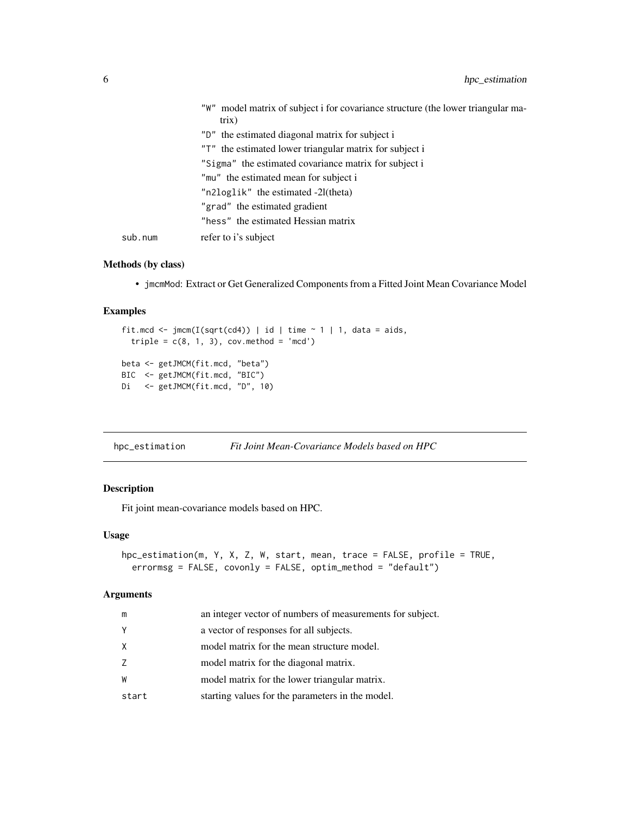<span id="page-5-0"></span>

|         | model matrix of subject i for covariance structure (the lower triangular ma-<br>"W"<br>trix) |
|---------|----------------------------------------------------------------------------------------------|
|         | "D" the estimated diagonal matrix for subject i                                              |
|         | "T" the estimated lower triangular matrix for subject i                                      |
|         | "Sigma" the estimated covariance matrix for subject i                                        |
|         | "mu" the estimated mean for subject i                                                        |
|         | "n2loglik" the estimated -21(theta)                                                          |
|         | "grad" the estimated gradient                                                                |
|         | "hess" the estimated Hessian matrix                                                          |
| sub.num | refer to i's subject                                                                         |

#### Methods (by class)

• jmcmMod: Extract or Get Generalized Components from a Fitted Joint Mean Covariance Model

#### Examples

```
fit.mcd <- jmm(I(sqrt(cd)) | id | time ~ 1 | 1, data = aids,triple = c(8, 1, 3), cov.method = 'mcd')
beta <- getJMCM(fit.mcd, "beta")
BIC <- getJMCM(fit.mcd, "BIC")
Di <- getJMCM(fit.mcd, "D", 10)
```
<span id="page-5-1"></span>

| Fit Joint Mean-Covariance Models based on HPC<br>hpc_estimation |  |
|-----------------------------------------------------------------|--|
|-----------------------------------------------------------------|--|

#### Description

Fit joint mean-covariance models based on HPC.

#### Usage

```
hpc_estimation(m, Y, X, Z, W, start, mean, trace = FALSE, profile = TRUE,
 errormsg = FALSE, covonly = FALSE, optim_method = "default")
```

| m     | an integer vector of numbers of measurements for subject. |
|-------|-----------------------------------------------------------|
| Y     | a vector of responses for all subjects.                   |
| X     | model matrix for the mean structure model.                |
| Z     | model matrix for the diagonal matrix.                     |
| W     | model matrix for the lower triangular matrix.             |
| start | starting values for the parameters in the model.          |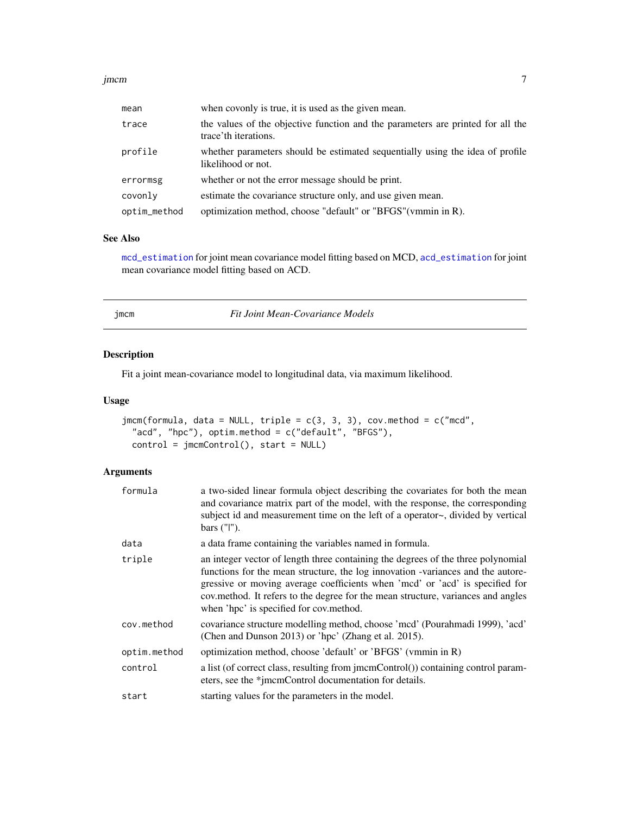#### <span id="page-6-0"></span>jmcm 300 km i 100 km i 100 km i 100 km i 100 km i 100 km i 100 km i 100 km i 100 km i 100 km i 100 km i 100 km

| mean         | when covonly is true, it is used as the given mean.                                                     |
|--------------|---------------------------------------------------------------------------------------------------------|
| trace        | the values of the objective function and the parameters are printed for all the<br>trace'th iterations. |
| profile      | whether parameters should be estimated sequentially using the idea of profile<br>likelihood or not.     |
| errormsg     | whether or not the error message should be print.                                                       |
| covonly      | estimate the covariance structure only, and use given mean.                                             |
| optim_method | optimization method, choose "default" or "BFGS"(vmmin in R).                                            |

#### See Also

[mcd\\_estimation](#page-8-1) for joint mean covariance model fitting based on MCD, [acd\\_estimation](#page-1-1) for joint mean covariance model fitting based on ACD.

| mс | m |
|----|---|
|    |   |

jmcm *Fit Joint Mean-Covariance Models*

#### Description

Fit a joint mean-covariance model to longitudinal data, via maximum likelihood.

#### Usage

```
jmcm(formula, data = NULL, triple = c(3, 3, 3), cov.method = c("mod","acd", "hpc"), optim.method = c("default", "BFGS"),
 control = jmcmControl(), start = NULL)
```

| formula      | a two-sided linear formula object describing the covariates for both the mean<br>and covariance matrix part of the model, with the response, the corresponding<br>subject id and measurement time on the left of a operator~, divided by vertical<br>bars $('']'.$                                                                                                                 |
|--------------|------------------------------------------------------------------------------------------------------------------------------------------------------------------------------------------------------------------------------------------------------------------------------------------------------------------------------------------------------------------------------------|
| data         | a data frame containing the variables named in formula.                                                                                                                                                                                                                                                                                                                            |
| triple       | an integer vector of length three containing the degrees of the three polynomial<br>functions for the mean structure, the log innovation -variances and the autore-<br>gressive or moving average coefficients when 'mcd' or 'acd' is specified for<br>cov.method. It refers to the degree for the mean structure, variances and angles<br>when 'hpc' is specified for cov.method. |
| cov.method   | covariance structure modelling method, choose 'mcd' (Pourahmadi 1999), 'acd'<br>(Chen and Dunson 2013) or 'hpc' (Zhang et al. 2015).                                                                                                                                                                                                                                               |
| optim.method | optimization method, choose 'default' or 'BFGS' (vmmin in R)                                                                                                                                                                                                                                                                                                                       |
| control      | a list (of correct class, resulting from jmcmControl()) containing control param-<br>eters, see the *jmcmControl documentation for details.                                                                                                                                                                                                                                        |
| start        | starting values for the parameters in the model.                                                                                                                                                                                                                                                                                                                                   |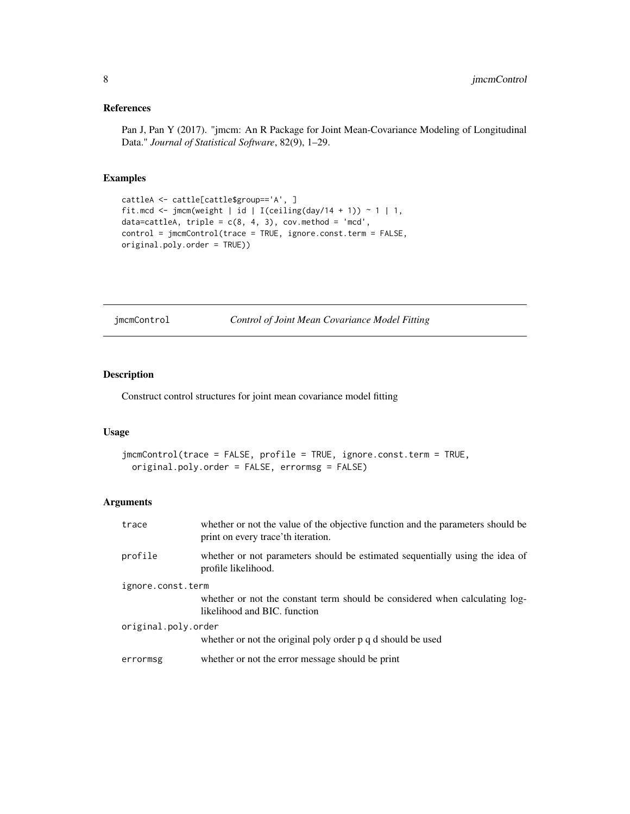#### <span id="page-7-0"></span>References

Pan J, Pan Y (2017). "jmcm: An R Package for Joint Mean-Covariance Modeling of Longitudinal Data." *Journal of Statistical Software*, 82(9), 1–29.

#### Examples

```
cattleA <- cattle[cattle$group=='A', ]
fit.mcd <- jmcm(weight | id | I(ceiling(day/14 + 1)) ~ 1 | 1,
data=cattleA, triple = c(8, 4, 3), cov.method = 'mcd',
control = jmcmControl(trace = TRUE, ignore.const.term = FALSE,
original.poly.order = TRUE))
```
jmcmControl *Control of Joint Mean Covariance Model Fitting*

#### Description

Construct control structures for joint mean covariance model fitting

#### Usage

```
jmcmControl(trace = FALSE, profile = TRUE, ignore.const.term = TRUE,
 original.poly.order = FALSE, errormsg = FALSE)
```

| trace               | whether or not the value of the objective function and the parameters should be<br>print on every trace'th iteration. |
|---------------------|-----------------------------------------------------------------------------------------------------------------------|
| profile             | whether or not parameters should be estimated sequentially using the idea of<br>profile likelihood.                   |
| ignore.const.term   |                                                                                                                       |
|                     | whether or not the constant term should be considered when calculating log-<br>likelihood and BIC, function           |
| original.poly.order |                                                                                                                       |
|                     | whether or not the original poly order p q d should be used                                                           |
| errormsg            | whether or not the error message should be print                                                                      |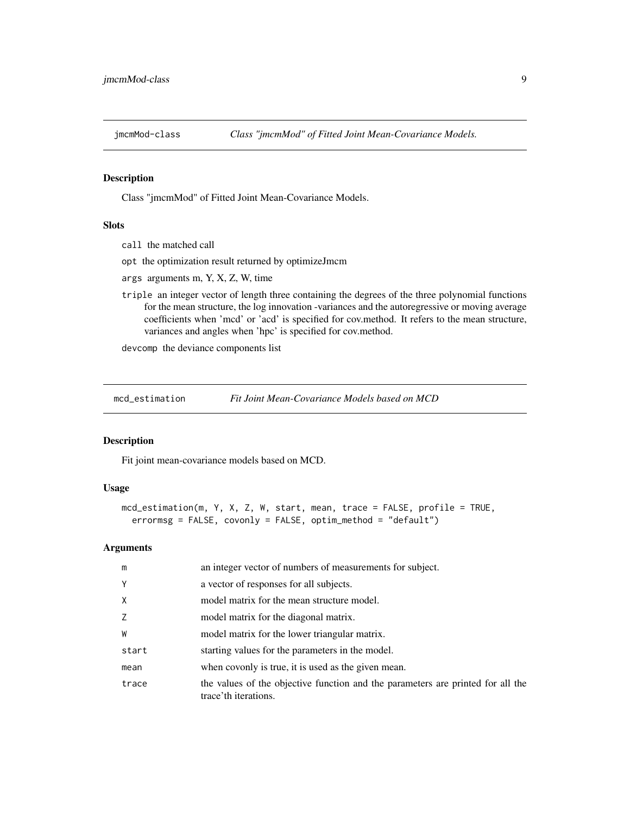<span id="page-8-0"></span>

Class "jmcmMod" of Fitted Joint Mean-Covariance Models.

#### Slots

- call the matched call
- opt the optimization result returned by optimizeJmcm
- args arguments m, Y, X, Z, W, time
- triple an integer vector of length three containing the degrees of the three polynomial functions for the mean structure, the log innovation -variances and the autoregressive or moving average coefficients when 'mcd' or 'acd' is specified for cov.method. It refers to the mean structure, variances and angles when 'hpc' is specified for cov.method.

devcomp the deviance components list

<span id="page-8-1"></span>mcd\_estimation *Fit Joint Mean-Covariance Models based on MCD*

#### Description

Fit joint mean-covariance models based on MCD.

#### Usage

```
mcd_estimation(m, Y, X, Z, W, start, mean, trace = FALSE, profile = TRUE,
  errormsg = FALSE, covonly = FALSE, optim_method = "default")
```

| m            | an integer vector of numbers of measurements for subject.                                               |
|--------------|---------------------------------------------------------------------------------------------------------|
| Y            | a vector of responses for all subjects.                                                                 |
| $\mathsf{X}$ | model matrix for the mean structure model.                                                              |
| Z            | model matrix for the diagonal matrix.                                                                   |
| W            | model matrix for the lower triangular matrix.                                                           |
| start        | starting values for the parameters in the model.                                                        |
| mean         | when covonly is true, it is used as the given mean.                                                     |
| trace        | the values of the objective function and the parameters are printed for all the<br>trace'th iterations. |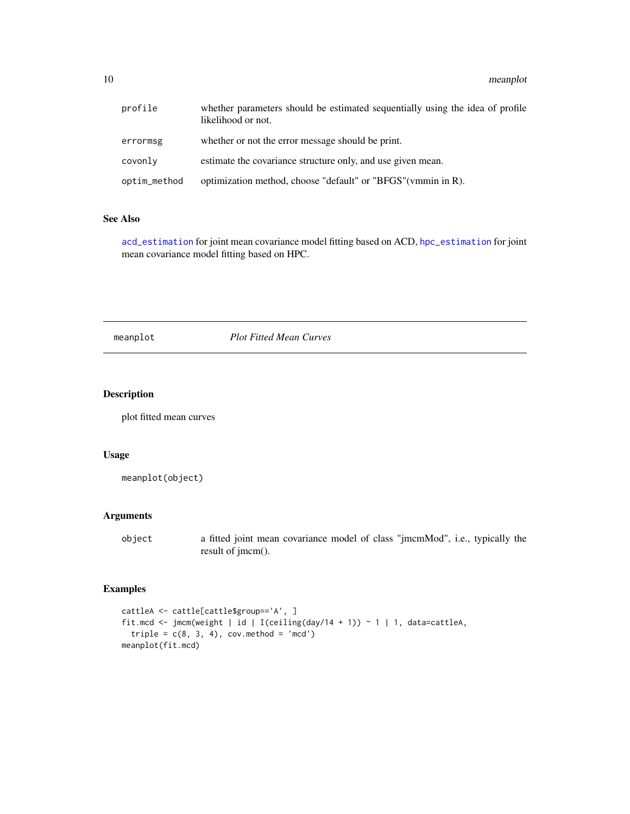<span id="page-9-0"></span>

| profile      | whether parameters should be estimated sequentially using the idea of profile<br>likelihood or not. |
|--------------|-----------------------------------------------------------------------------------------------------|
| errormsg     | whether or not the error message should be print.                                                   |
| covonly      | estimate the covariance structure only, and use given mean.                                         |
| optim_method | optimization method, choose "default" or "BFGS"(vmmin in R).                                        |

#### See Also

[acd\\_estimation](#page-1-1) for joint mean covariance model fitting based on ACD, [hpc\\_estimation](#page-5-1) for joint mean covariance model fitting based on HPC.

meanplot *Plot Fitted Mean Curves*

#### Description

plot fitted mean curves

#### Usage

meanplot(object)

#### Arguments

object a fitted joint mean covariance model of class "jmcmMod", i.e., typically the result of jmcm().

#### Examples

```
cattleA <- cattle[cattle$group=='A', ]
fit.mcd <- jmcm(weight | id | I(ceiling(day/14 + 1)) ~ 1 | 1, data=cattleA,
  triple = c(8, 3, 4), cov.method = 'mcd')
meanplot(fit.mcd)
```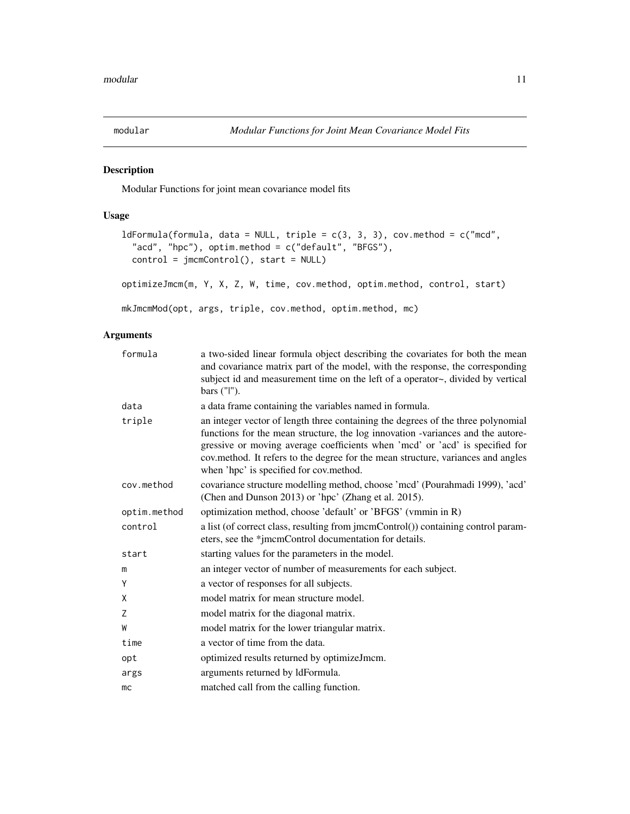<span id="page-10-0"></span>

Modular Functions for joint mean covariance model fits

#### Usage

```
ldFormula(formula, data = NULL, triple = c(3, 3, 3), cov.method = c("mod","acd", "hpc"), optim.method = c("default", "BFGS"),
  control = jmcmControl(), start = NULL)
optimizeJmcm(m, Y, X, Z, W, time, cov.method, optim.method, control, start)
```
mkJmcmMod(opt, args, triple, cov.method, optim.method, mc)

| a two-sided linear formula object describing the covariates for both the mean<br>and covariance matrix part of the model, with the response, the corresponding<br>subject id and measurement time on the left of a operator~, divided by vertical<br>bars ("I").                                                                                                                   |
|------------------------------------------------------------------------------------------------------------------------------------------------------------------------------------------------------------------------------------------------------------------------------------------------------------------------------------------------------------------------------------|
| a data frame containing the variables named in formula.                                                                                                                                                                                                                                                                                                                            |
| an integer vector of length three containing the degrees of the three polynomial<br>functions for the mean structure, the log innovation -variances and the autore-<br>gressive or moving average coefficients when 'mcd' or 'acd' is specified for<br>cov.method. It refers to the degree for the mean structure, variances and angles<br>when 'hpc' is specified for cov.method. |
| covariance structure modelling method, choose 'mcd' (Pourahmadi 1999), 'acd'<br>(Chen and Dunson 2013) or 'hpc' (Zhang et al. 2015).                                                                                                                                                                                                                                               |
| optimization method, choose 'default' or 'BFGS' (vmmin in R)                                                                                                                                                                                                                                                                                                                       |
| a list (of correct class, resulting from jmcmControl()) containing control param-<br>eters, see the *jmcmControl documentation for details.                                                                                                                                                                                                                                        |
| starting values for the parameters in the model.                                                                                                                                                                                                                                                                                                                                   |
| an integer vector of number of measurements for each subject.                                                                                                                                                                                                                                                                                                                      |
| a vector of responses for all subjects.                                                                                                                                                                                                                                                                                                                                            |
| model matrix for mean structure model.                                                                                                                                                                                                                                                                                                                                             |
| model matrix for the diagonal matrix.                                                                                                                                                                                                                                                                                                                                              |
| model matrix for the lower triangular matrix.                                                                                                                                                                                                                                                                                                                                      |
| a vector of time from the data.                                                                                                                                                                                                                                                                                                                                                    |
| optimized results returned by optimizeJmcm.                                                                                                                                                                                                                                                                                                                                        |
| arguments returned by ldFormula.                                                                                                                                                                                                                                                                                                                                                   |
| matched call from the calling function.                                                                                                                                                                                                                                                                                                                                            |
|                                                                                                                                                                                                                                                                                                                                                                                    |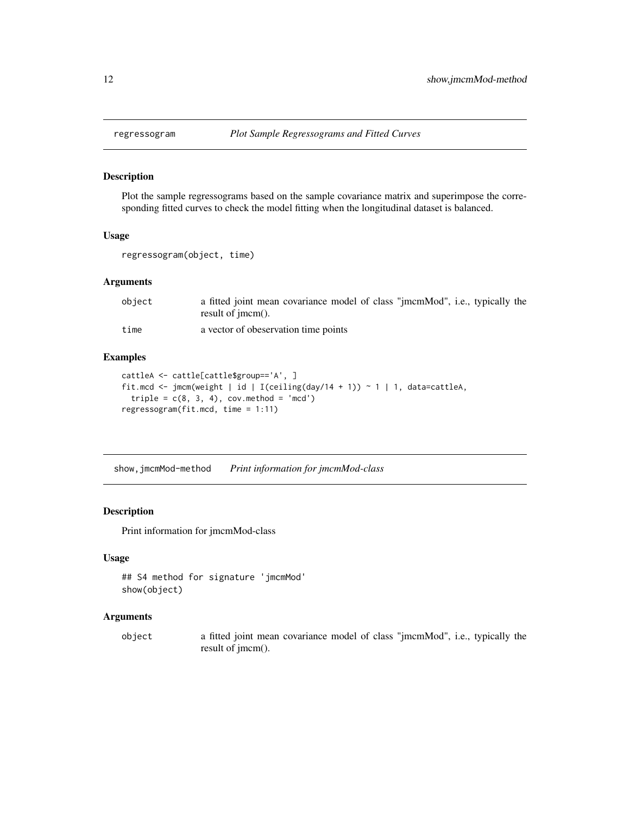Plot the sample regressograms based on the sample covariance matrix and superimpose the corresponding fitted curves to check the model fitting when the longitudinal dataset is balanced.

#### Usage

```
regressogram(object, time)
```
#### Arguments

| object | a fitted joint mean covariance model of class "jmcmMod", i.e., typically the |
|--------|------------------------------------------------------------------------------|
|        | result of $\mathbf{imcm}()$ .                                                |
| time   | a vector of obeservation time points                                         |

#### Examples

```
cattleA <- cattle[cattle$group=='A', ]
fit.mcd <- jmcm(weight | id | I(ceiling(day/14 + 1)) ~ 1 | 1, data=cattleA,
  triple = c(8, 3, 4), cov.method = 'mcd')
regressogram(fit.mcd, time = 1:11)
```
show,jmcmMod-method *Print information for jmcmMod-class*

#### Description

Print information for jmcmMod-class

#### Usage

```
## S4 method for signature 'jmcmMod'
show(object)
```
#### Arguments

object a fitted joint mean covariance model of class "jmcmMod", i.e., typically the result of jmcm().